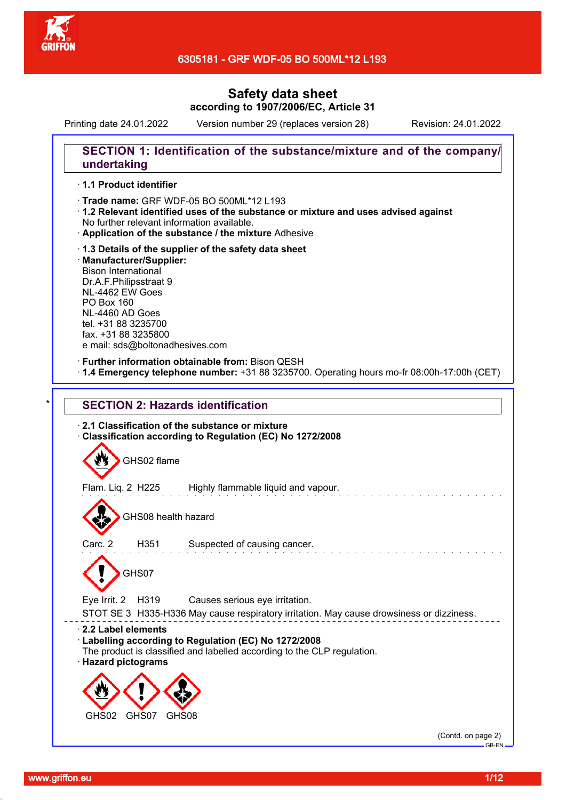

Printing date 24.01.2022 Version number 29 (replaces version 28) Revision: 24.01.2022

## **SECTION 1: Identification of the substance/mixture and of the company/ undertaking**

#### · **1.1 Product identifier**

· Trade name: GRF WDF-05 BO 500ML\*12 L193

- · **1.2 Relevant identified uses of the substance or mixture and uses advised against** No further relevant information available.
- · **Application of the substance / the mixture** Adhesive
- · **1.3 Details of the supplier of the safety data sheet** · **Manufacturer/Supplier:** Bison International Dr.A.F.Philipsstraat 9 NL-4462 EW Goes PO Box 160 NL-4460 AD Goes tel. +31 88 3235700 fax. +31 88 3235800 e mail: sds@boltonadhesives.com

#### · **Further information obtainable from:** Bison QESH

· **1.4 Emergency telephone number:** +31 88 3235700. Operating hours mo-fr 08:00h-17:00h (CET)

# **SECTION 2: Hazards identification** · **2.1 Classification of the substance or mixture** · **Classification according to Regulation (EC) No 1272/2008**



STOT SE 3 H335-H336 May cause respiratory irritation. May cause drowsiness or dizziness.

#### · **2.2 Label elements**

- · **Labelling according to Regulation (EC) No 1272/2008**
- The product is classified and labelled according to the CLP regulation.
- · **Hazard pictograms**



(Contd. on page 2) GB-EN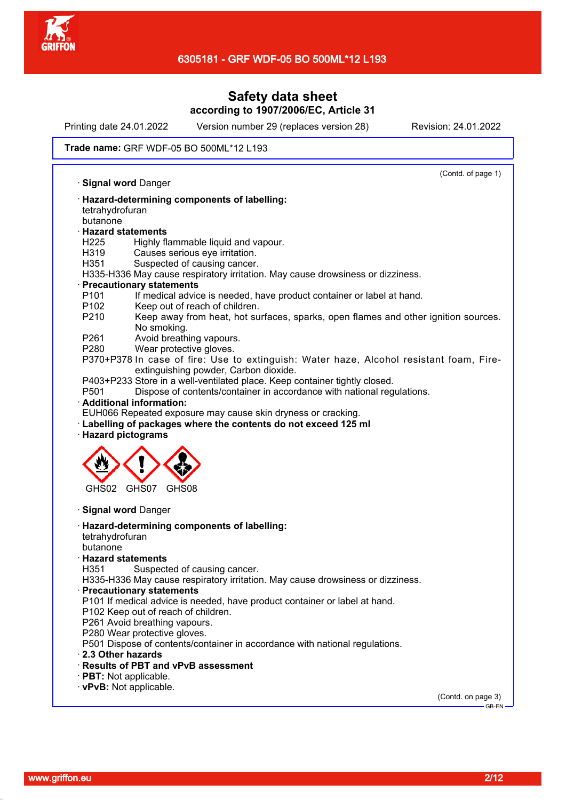

Printing date 24.01.2022 Version number 29 (replaces version 28) Revision: 24.01.2022

#### Trade name: GRF WDF-05 BO 500ML\*12 L193

(Contd. of page 1) · **Signal word** Danger · **Hazard-determining components of labelling:** tetrahydrofuran butanone · **Hazard statements** H225 Highly flammable liquid and vapour. H319 Causes serious eye irritation. H351 Suspected of causing cancer. H335-H336 May cause respiratory irritation. May cause drowsiness or dizziness. · **Precautionary statements** P101 If medical advice is needed, have product container or label at hand. P102 Keep out of reach of children. P210 Keep away from heat, hot surfaces, sparks, open flames and other ignition sources. No smoking. P261 Avoid breathing vapours. P280 Wear protective gloves. P370+P378 In case of fire: Use to extinguish: Water haze, Alcohol resistant foam, Fireextinguishing powder, Carbon dioxide. P403+P233 Store in a well-ventilated place. Keep container tightly closed.<br>P501 Dispose of contents/container in accordance with national reg Dispose of contents/container in accordance with national regulations. · **Additional information:** EUH066 Repeated exposure may cause skin dryness or cracking. · **Labelling of packages where the contents do not exceed 125 ml** · **Hazard pictograms** GHS02 GHS07 GHS08 · **Signal word** Danger · **Hazard-determining components of labelling:** tetrahydrofuran butanone · **Hazard statements** Suspected of causing cancer. H335-H336 May cause respiratory irritation. May cause drowsiness or dizziness. · **Precautionary statements** P101 If medical advice is needed, have product container or label at hand. P102 Keep out of reach of children. P261 Avoid breathing vapours. P<sub>280</sub> Wear protective gloves. P501 Dispose of contents/container in accordance with national regulations. · **2.3 Other hazards** · **Results of PBT and vPvB assessment** · **PBT:** Not applicable. · **vPvB:** Not applicable. (Contd. on page 3) GB-EN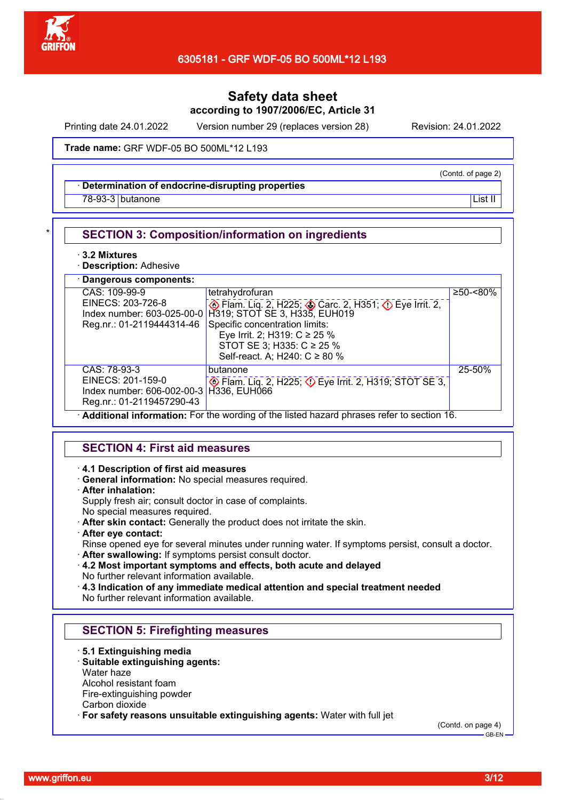

Printing date 24.01.2022 Version number 29 (replaces version 28) Revision: 24.01.2022

Trade name: GRF WDF-05 BO 500ML\*12 L193

#### · **Determination of endocrine-disrupting properties**

<u>78-93-3</u> butanone List II and the List II and the List II and the List II and the List II and the List II and the List II

#### **SECTION 3: Composition/information on ingredients**

#### · **3.2 Mixtures**

· **Description:** Adhesive

| · Dangerous components:                                                                                   |                                                                                                                                                                                                                                                                                                                                                                                                |              |
|-----------------------------------------------------------------------------------------------------------|------------------------------------------------------------------------------------------------------------------------------------------------------------------------------------------------------------------------------------------------------------------------------------------------------------------------------------------------------------------------------------------------|--------------|
| CAS: 109-99-9<br>EINECS: 203-726-8<br>Reg.nr.: 01-2119444314-46                                           | tetrahydrofuran<br>Eye Irrit. 2, H225; Carc. 2, H351; C Eye Irrit. 2,<br>Index number: 603-025-00-0 H319; STOT SE 3, H335, EUH019<br>Specific concentration limits:<br>Eye Irrit. 2; H319: $C \ge 25$ %<br>STOT SE 3; H335: C ≥ 25 %<br>Self-react. A; H240: C ≥ 80 %                                                                                                                          | $≥50 - <80%$ |
| CAS: 78-93-3<br>EINECS: 201-159-0<br>Index number: 606-002-00-3 H336, EUH066<br>Reg.nr.: 01-2119457290-43 | butanone<br><b>DESCRIPEDIARY EXAMPLE 2.4 FOR SET OF SET 3.1</b><br>and the state of the state of the state of<br>$\mathbf{r}$ . The set of the set of the set of the set of the set of the set of the set of the set of the set of the set of the set of the set of the set of the set of the set of the set of the set of the set of the set of t<br>$\mathbf{r}$ and the set of $\mathbf{r}$ | 25-50%       |

· **Additional information:** For the wording of the listed hazard phrases refer to section 16.

### **SECTION 4: First aid measures**

#### · **4.1 Description of first aid measures**

· **General information:** No special measures required.

#### · **After inhalation:**

Supply fresh air; consult doctor in case of complaints.

- No special measures required.
- · **After skin contact:** Generally the product does not irritate the skin.
- · **After eye contact:**

Rinse opened eye for several minutes under running water. If symptoms persist, consult a doctor.

- · **After swallowing:** If symptoms persist consult doctor.
- · **4.2 Most important symptoms and effects, both acute and delayed** No further relevant information available.

· **4.3 Indication of any immediate medical attention and special treatment needed** No further relevant information available.

# **SECTION 5: Firefighting measures**

· **5.1 Extinguishing media**

### · **Suitable extinguishing agents:**

Water haze

Alcohol resistant foam

Fire-extinguishing powder

Carbon dioxide

· **For safety reasons unsuitable extinguishing agents:** Water with full jet

(Contd. on page 4)

(Contd. of page 2)

GB-EN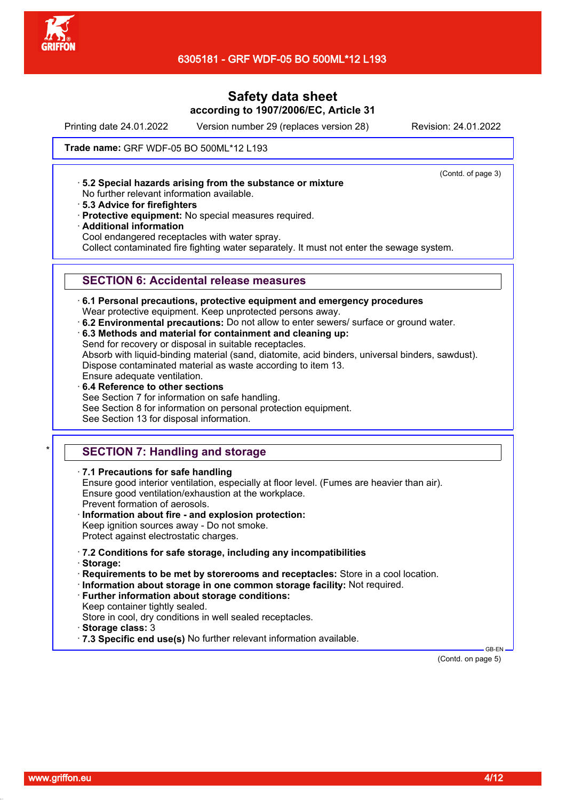

Printing date 24.01.2022 Version number 29 (replaces version 28) Revision: 24.01.2022

(Contd. of page 3)

Trade name: GRF WDF-05 BO 500ML\*12 L193

· **5.2 Special hazards arising from the substance or mixture**

- No further relevant information available.
- · **5.3 Advice for firefighters**
- · **Protective equipment:** No special measures required.
- · **Additional information**

Cool endangered receptacles with water spray.

Collect contaminated fire fighting water separately. It must not enter the sewage system.

## **SECTION 6: Accidental release measures**

- · **6.1 Personal precautions, protective equipment and emergency procedures** Wear protective equipment. Keep unprotected persons away.
- · **6.2 Environmental precautions:** Do not allow to enter sewers/ surface or ground water.
- · **6.3 Methods and material for containment and cleaning up:** Send for recovery or disposal in suitable receptacles.

Absorb with liquid-binding material (sand, diatomite, acid binders, universal binders, sawdust). Dispose contaminated material as waste according to item 13. Ensure adequate ventilation.

· **6.4 Reference to other sections** See Section 7 for information on safe handling. See Section 8 for information on personal protection equipment.

See Section 13 for disposal information.

# **SECTION 7: Handling and storage**

· **7.1 Precautions for safe handling**

Ensure good interior ventilation, especially at floor level. (Fumes are heavier than air). Ensure good ventilation/exhaustion at the workplace. Prevent formation of aerosols.

· **Information about fire - and explosion protection:** Keep ignition sources away - Do not smoke.

Protect against electrostatic charges.

- · **7.2 Conditions for safe storage, including any incompatibilities**
- · **Storage:**

· **Requirements to be met by storerooms and receptacles:** Store in a cool location.

- · **Information about storage in one common storage facility:** Not required.
- · **Further information about storage conditions:**

Keep container tightly sealed.

Store in cool, dry conditions in well sealed receptacles.

- · **Storage class:** 3
- · **7.3 Specific end use(s)** No further relevant information available.

(Contd. on page 5)

GB-EN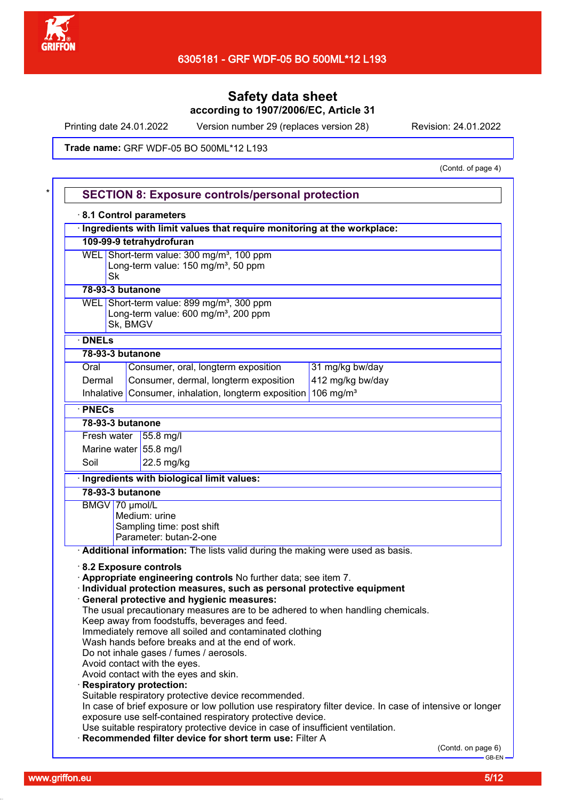

Printing date 24.01.2022 Version number 29 (replaces version 28) Revision: 24.01.2022

Trade name: GRF WDF-05 BO 500ML\*12 L193

(Contd. of page 4)

|                                                       |                                                 | 8.1 Control parameters<br>Ingredients with limit values that require monitoring at the workplace:                                         |                                                                                                          |  |
|-------------------------------------------------------|-------------------------------------------------|-------------------------------------------------------------------------------------------------------------------------------------------|----------------------------------------------------------------------------------------------------------|--|
|                                                       |                                                 | 109-99-9 tetrahydrofuran                                                                                                                  |                                                                                                          |  |
| WEL Short-term value: 300 mg/m <sup>3</sup> , 100 ppm |                                                 |                                                                                                                                           |                                                                                                          |  |
|                                                       | Long-term value: 150 mg/m <sup>3</sup> , 50 ppm |                                                                                                                                           |                                                                                                          |  |
|                                                       | <b>Sk</b>                                       |                                                                                                                                           |                                                                                                          |  |
| 78-93-3 butanone                                      |                                                 |                                                                                                                                           |                                                                                                          |  |
|                                                       |                                                 | WEL Short-term value: 899 mg/m <sup>3</sup> , 300 ppm                                                                                     |                                                                                                          |  |
|                                                       |                                                 | Long-term value: 600 mg/m <sup>3</sup> , 200 ppm                                                                                          |                                                                                                          |  |
|                                                       | Sk, BMGV                                        |                                                                                                                                           |                                                                                                          |  |
| · DNELs                                               |                                                 |                                                                                                                                           |                                                                                                          |  |
| 78-93-3 butanone                                      |                                                 |                                                                                                                                           |                                                                                                          |  |
| Oral                                                  |                                                 | Consumer, oral, longterm exposition                                                                                                       | 31 mg/kg bw/day                                                                                          |  |
| Dermal                                                |                                                 | Consumer, dermal, longterm exposition                                                                                                     | 412 mg/kg bw/day                                                                                         |  |
| <b>Inhalative</b>                                     |                                                 | Consumer, inhalation, longterm exposition                                                                                                 | 106 mg/ $m3$                                                                                             |  |
| · PNECs                                               |                                                 |                                                                                                                                           |                                                                                                          |  |
| 78-93-3 butanone                                      |                                                 |                                                                                                                                           |                                                                                                          |  |
|                                                       |                                                 | Fresh water $ 55.8 \text{ mg/l} $                                                                                                         |                                                                                                          |  |
|                                                       |                                                 | Marine water 55.8 mg/l                                                                                                                    |                                                                                                          |  |
| Soil                                                  |                                                 | 22.5 mg/kg                                                                                                                                |                                                                                                          |  |
|                                                       |                                                 | Ingredients with biological limit values:                                                                                                 |                                                                                                          |  |
| 78-93-3 butanone                                      |                                                 |                                                                                                                                           |                                                                                                          |  |
| BMGV 70 µmol/L                                        |                                                 |                                                                                                                                           |                                                                                                          |  |
|                                                       |                                                 | Medium: urine                                                                                                                             |                                                                                                          |  |
|                                                       |                                                 | Sampling time: post shift                                                                                                                 |                                                                                                          |  |
|                                                       |                                                 |                                                                                                                                           |                                                                                                          |  |
|                                                       |                                                 | Parameter: butan-2-one                                                                                                                    |                                                                                                          |  |
|                                                       |                                                 | Additional information: The lists valid during the making were used as basis.                                                             |                                                                                                          |  |
|                                                       |                                                 | 8.2 Exposure controls                                                                                                                     |                                                                                                          |  |
|                                                       |                                                 | Appropriate engineering controls No further data; see item 7.                                                                             |                                                                                                          |  |
|                                                       |                                                 | · Individual protection measures, such as personal protective equipment                                                                   |                                                                                                          |  |
|                                                       |                                                 | <b>General protective and hygienic measures:</b>                                                                                          |                                                                                                          |  |
|                                                       |                                                 | The usual precautionary measures are to be adhered to when handling chemicals.                                                            |                                                                                                          |  |
|                                                       |                                                 | Keep away from foodstuffs, beverages and feed.<br>Immediately remove all soiled and contaminated clothing                                 |                                                                                                          |  |
|                                                       |                                                 | Wash hands before breaks and at the end of work.                                                                                          |                                                                                                          |  |
|                                                       |                                                 | Do not inhale gases / fumes / aerosols.                                                                                                   |                                                                                                          |  |
|                                                       |                                                 | Avoid contact with the eyes.                                                                                                              |                                                                                                          |  |
|                                                       |                                                 | Avoid contact with the eyes and skin.                                                                                                     |                                                                                                          |  |
|                                                       |                                                 | <b>Respiratory protection:</b>                                                                                                            |                                                                                                          |  |
|                                                       |                                                 | Suitable respiratory protective device recommended.                                                                                       |                                                                                                          |  |
|                                                       |                                                 | exposure use self-contained respiratory protective device.                                                                                |                                                                                                          |  |
|                                                       |                                                 | Use suitable respiratory protective device in case of insufficient ventilation.<br>Recommended filter device for short term use: Filter A | In case of brief exposure or low pollution use respiratory filter device. In case of intensive or longer |  |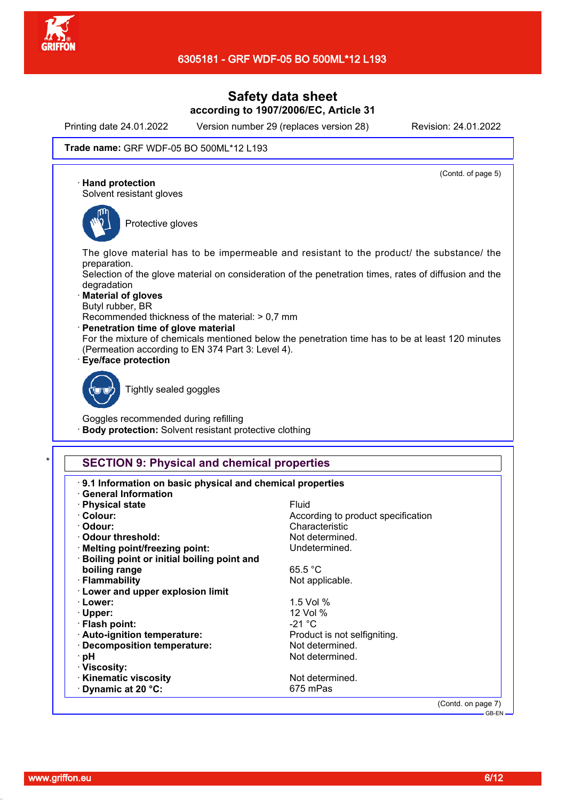

Printing date 24.01.2022 Version number 29 (replaces version 28) Revision: 24.01.2022

(Contd. of page 5)

#### Trade name: GRF WDF-05 BO 500ML\*12 L193

· **Hand protection**

Solvent resistant gloves



Protective gloves

The glove material has to be impermeable and resistant to the product/ the substance/ the preparation.

Selection of the glove material on consideration of the penetration times, rates of diffusion and the degradation

- · **Material of gloves**
- Butyl rubber, BR
- Recommended thickness of the material: > 0,7 mm
- · **Penetration time of glove material**

For the mixture of chemicals mentioned below the penetration time has to be at least 120 minutes (Permeation according to EN 374 Part 3: Level 4).

· **Eye/face protection**



Tightly sealed goggles

Goggles recommended during refilling **Body protection:** Solvent resistant protective clothing

# **SECTION 9: Physical and chemical properties**

| · Physical state                             | Fluid                              |
|----------------------------------------------|------------------------------------|
| · Colour:                                    | According to product specification |
| · Odour:                                     | Characteristic                     |
| Odour threshold:                             | Not determined.                    |
| · Melting point/freezing point:              | Undetermined.                      |
| · Boiling point or initial boiling point and |                                    |
| boiling range                                | 65.5 °C                            |
| · Flammability                               | Not applicable.                    |
| <b>Lower and upper explosion limit</b>       |                                    |
| · Lower:                                     | 1.5 Vol %                          |
| $\cdot$ Upper:                               | 12 Vol %                           |
| · Flash point:                               | $-21 °C$                           |
| · Auto-ignition temperature:                 | Product is not selfigniting.       |
| · Decomposition temperature:                 | Not determined.                    |
| ∙ pH                                         | Not determined.                    |
| · Viscosity:                                 |                                    |
| · Kinematic viscosity                        | Not determined.                    |
| Dynamic at 20 °C:                            | 675 mPas                           |

GB-EN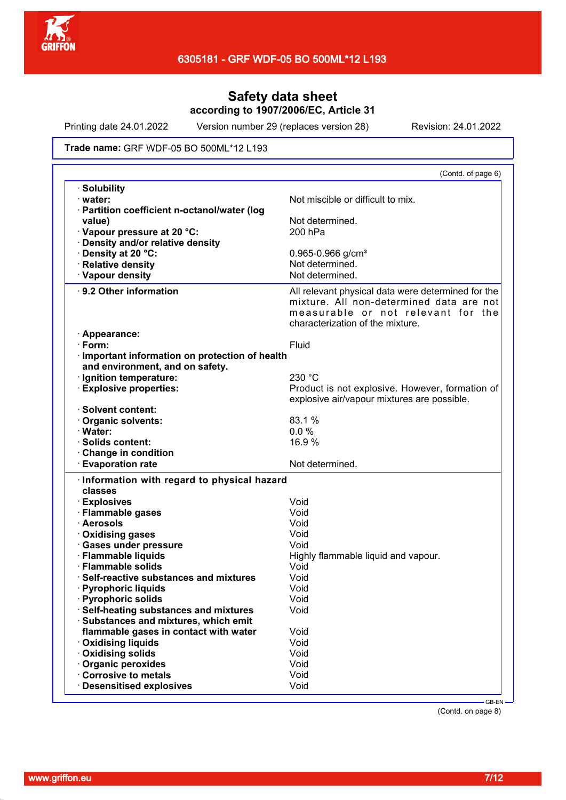

Printing date 24.01.2022 Version number 29 (replaces version 28) Revision: 24.01.2022

Trade name: GRF WDF-05 BO 500ML\*12 L193

|                                                 | (Contd. of page 6)                                                                                                                                                       |
|-------------------------------------------------|--------------------------------------------------------------------------------------------------------------------------------------------------------------------------|
| <b>Solubility</b>                               |                                                                                                                                                                          |
| · water:                                        | Not miscible or difficult to mix.                                                                                                                                        |
| · Partition coefficient n-octanol/water (log    |                                                                                                                                                                          |
| value)                                          | Not determined.                                                                                                                                                          |
| Vapour pressure at 20 °C:                       | 200 hPa                                                                                                                                                                  |
| · Density and/or relative density               |                                                                                                                                                                          |
| Density at 20 °C:                               | $0.965 - 0.966$ g/cm <sup>3</sup>                                                                                                                                        |
| · Relative density                              | Not determined.                                                                                                                                                          |
| · Vapour density                                | Not determined.                                                                                                                                                          |
| ⋅ 9.2 Other information                         | All relevant physical data were determined for the<br>mixture. All non-determined data are not<br>measurable or not relevant for the<br>characterization of the mixture. |
| · Appearance:                                   |                                                                                                                                                                          |
| $\cdot$ Form:                                   | Fluid                                                                                                                                                                    |
| · Important information on protection of health |                                                                                                                                                                          |
| and environment, and on safety.                 |                                                                                                                                                                          |
| · Ignition temperature:                         | 230 °C                                                                                                                                                                   |
| <b>Explosive properties:</b>                    | Product is not explosive. However, formation of                                                                                                                          |
|                                                 | explosive air/vapour mixtures are possible.                                                                                                                              |
| · Solvent content:                              |                                                                                                                                                                          |
| Organic solvents:                               | 83.1 %                                                                                                                                                                   |
| · Water:                                        | 0.0%                                                                                                                                                                     |
| · Solids content:                               | 16.9%                                                                                                                                                                    |
| Change in condition                             |                                                                                                                                                                          |
| <b>Evaporation rate</b>                         | Not determined.                                                                                                                                                          |
| · Information with regard to physical hazard    |                                                                                                                                                                          |
| classes                                         |                                                                                                                                                                          |
| · Explosives                                    | Void                                                                                                                                                                     |
| · Flammable gases                               | Void                                                                                                                                                                     |
| · Aerosols                                      | Void                                                                                                                                                                     |
| · Oxidising gases                               | Void                                                                                                                                                                     |
| · Gases under pressure                          | Void                                                                                                                                                                     |
| · Flammable liquids                             | Highly flammable liquid and vapour.                                                                                                                                      |
| · Flammable solids                              | Void                                                                                                                                                                     |
| Self-reactive substances and mixtures           | Void                                                                                                                                                                     |
| · Pyrophoric liquids                            | Void                                                                                                                                                                     |
| <b>Pyrophoric solids</b>                        | Void                                                                                                                                                                     |
| · Self-heating substances and mixtures          | Void                                                                                                                                                                     |
| · Substances and mixtures, which emit           |                                                                                                                                                                          |
| flammable gases in contact with water           | Void                                                                                                                                                                     |
| <b>Oxidising liquids</b>                        | Void                                                                                                                                                                     |
| <b>Oxidising solids</b>                         | Void                                                                                                                                                                     |
| · Organic peroxides                             | Void                                                                                                                                                                     |
| Corrosive to metals                             | Void                                                                                                                                                                     |
| · Desensitised explosives                       | Void                                                                                                                                                                     |
|                                                 |                                                                                                                                                                          |

(Contd. on page 8)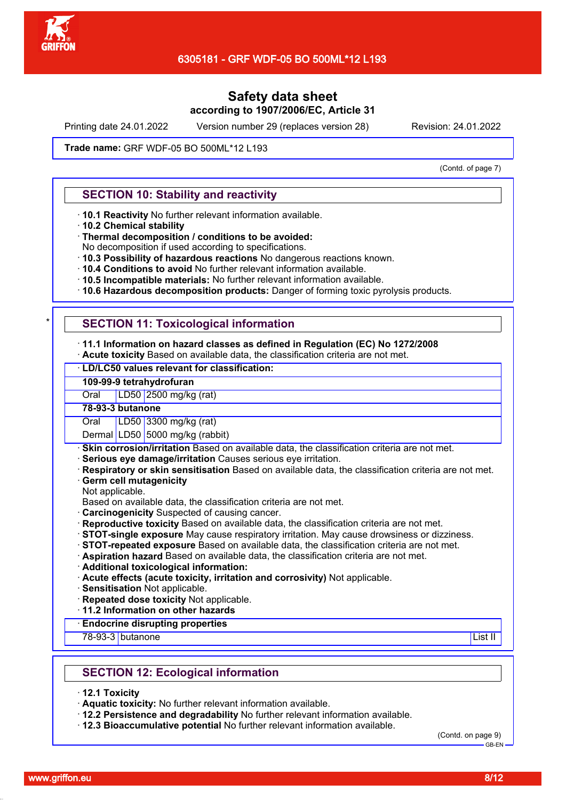

Printing date 24.01.2022 Version number 29 (replaces version 28) Revision: 24.01.2022

Trade name: GRF WDF-05 BO 500ML\*12 L193

(Contd. of page 7)

### **SECTION 10: Stability and reactivity**

- · **10.1 Reactivity** No further relevant information available.
- · **10.2 Chemical stability**
- · **Thermal decomposition / conditions to be avoided:**
- No decomposition if used according to specifications.
- · **10.3 Possibility of hazardous reactions** No dangerous reactions known.
- · **10.4 Conditions to avoid** No further relevant information available.
- · **10.5 Incompatible materials:** No further relevant information available.
- · **10.6 Hazardous decomposition products:** Danger of forming toxic pyrolysis products.

### **SECTION 11: Toxicological information**

#### · **11.1 Information on hazard classes as defined in Regulation (EC) No 1272/2008**

· **Acute toxicity** Based on available data, the classification criteria are not met.

### · **LD/LC50 values relevant for classification:**

### **109-99-9 tetrahydrofuran**

Oral LD50 2500 mg/kg (rat)

**78-93-3 butanone**

Oral LD50 3300 mg/kg (rat)

Dermal LD50 5000 mg/kg (rabbit)

- **Skin corrosion/irritation** Based on available data, the classification criteria are not met.
- · **Serious eye damage/irritation** Causes serious eye irritation.
- · **Respiratory or skin sensitisation** Based on available data, the classification criteria are not met.
- **Germ cell mutagenicity**
- Not applicable.
- Based on available data, the classification criteria are not met.
- · **Carcinogenicity** Suspected of causing cancer.
- · **Reproductive toxicity** Based on available data, the classification criteria are not met.
- · **STOT-single exposure** May cause respiratory irritation. May cause drowsiness or dizziness.
- · **STOT-repeated exposure** Based on available data, the classification criteria are not met.
- · **Aspiration hazard** Based on available data, the classification criteria are not met.
- · **Additional toxicological information:**
- · **Acute effects (acute toxicity, irritation and corrosivity)** Not applicable.
- · **Sensitisation** Not applicable.
- · **Repeated dose toxicity** Not applicable.
- · **11.2 Information on other hazards**

#### · **Endocrine disrupting properties**

78-93-3 butanone List II

### **SECTION 12: Ecological information**

- · **12.1 Toxicity**
- · **Aquatic toxicity:** No further relevant information available.
- · **12.2 Persistence and degradability** No further relevant information available.
- · **12.3 Bioaccumulative potential** No further relevant information available.

(Contd. on page 9) GB-EN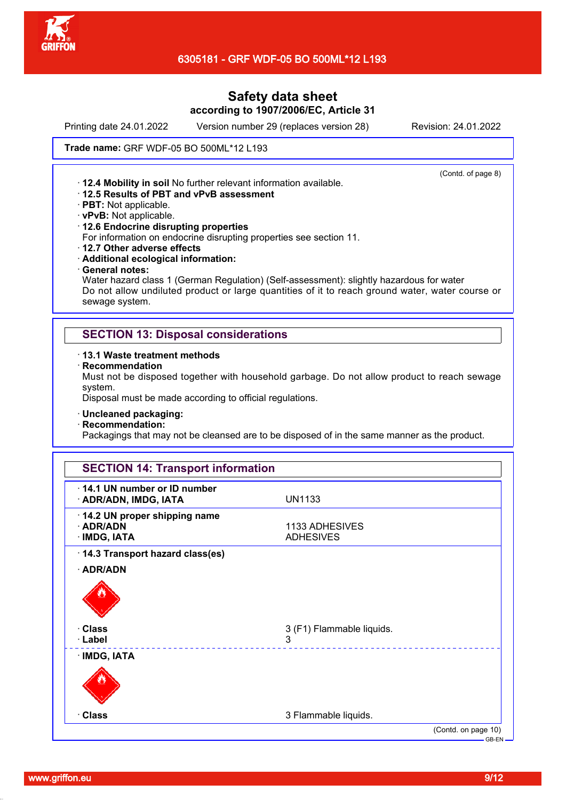

Printing date 24.01.2022 Version number 29 (replaces version 28) Revision: 24.01.2022

(Contd. of page 8)

Trade name: GRF WDF-05 BO 500ML\*12 L193

· **12.4 Mobility in soil** No further relevant information available. · **12.5 Results of PBT and vPvB assessment**

- · **PBT:** Not applicable.
- · **vPvB:** Not applicable.
- · **12.6 Endocrine disrupting properties**

For information on endocrine disrupting properties see section 11.

- · **12.7 Other adverse effects**
- · **Additional ecological information:**
- · **General notes:**

Water hazard class 1 (German Regulation) (Self-assessment): slightly hazardous for water Do not allow undiluted product or large quantities of it to reach ground water, water course or sewage system.

### **SECTION 13: Disposal considerations**

- · **13.1 Waste treatment methods**
- · **Recommendation**

Must not be disposed together with household garbage. Do not allow product to reach sewage system.

Disposal must be made according to official regulations.

- · **Uncleaned packaging:**
- · **Recommendation:**

Packagings that may not be cleansed are to be disposed of in the same manner as the product.

| 14.1 UN number or ID number<br>· ADR/ADN, IMDG, IATA      | <b>UN1133</b>                      |
|-----------------------------------------------------------|------------------------------------|
| 14.2 UN proper shipping name<br>· ADR/ADN<br>· IMDG, IATA | 1133 ADHESIVES<br><b>ADHESIVES</b> |
| 14.3 Transport hazard class(es)                           |                                    |
| · ADR/ADN                                                 |                                    |
|                                                           |                                    |
| · Class                                                   | 3 (F1) Flammable liquids.          |
| · Label                                                   | 3                                  |
| · IMDG, IATA                                              |                                    |
|                                                           |                                    |
|                                                           |                                    |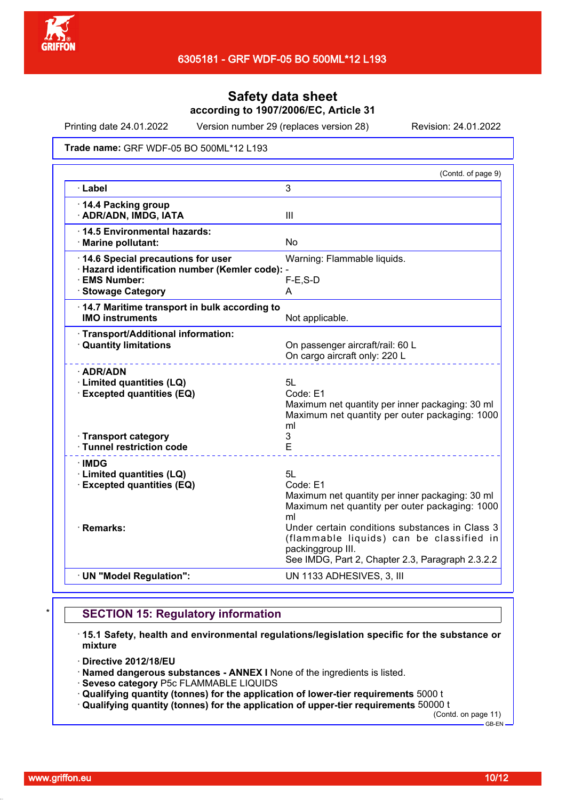

Printing date 24.01.2022 Version number 29 (replaces version 28) Revision: 24.01.2022

Trade name: GRF WDF-05 BO 500ML\*12 L193

|                                                                                                                                  | (Contd. of page 9)                                                                                                                                                  |
|----------------------------------------------------------------------------------------------------------------------------------|---------------------------------------------------------------------------------------------------------------------------------------------------------------------|
| · Label                                                                                                                          | 3                                                                                                                                                                   |
| 14.4 Packing group<br>· ADR/ADN, IMDG, IATA                                                                                      | III                                                                                                                                                                 |
| 14.5 Environmental hazards:<br>· Marine pollutant:                                                                               | No                                                                                                                                                                  |
| 14.6 Special precautions for user<br>· Hazard identification number (Kemler code): -<br>· EMS Number:<br><b>Stowage Category</b> | Warning: Flammable liquids.<br>$F-E$ , $S-D$<br>A                                                                                                                   |
| 14.7 Maritime transport in bulk according to<br><b>IMO instruments</b>                                                           | Not applicable.                                                                                                                                                     |
| · Transport/Additional information:<br>· Quantity limitations                                                                    | On passenger aircraft/rail: 60 L<br>On cargo aircraft only: 220 L                                                                                                   |
| · ADR/ADN<br>· Limited quantities (LQ)<br>· Excepted quantities (EQ)                                                             | 5L<br>Code: E1<br>Maximum net quantity per inner packaging: 30 ml<br>Maximum net quantity per outer packaging: 1000<br>ml<br>3                                      |
| · Transport category<br>· Tunnel restriction code                                                                                | E                                                                                                                                                                   |
| $\cdot$ IMDG<br>· Limited quantities (LQ)<br>· Excepted quantities (EQ)                                                          | 5L<br>Code: E1<br>Maximum net quantity per inner packaging: 30 ml<br>Maximum net quantity per outer packaging: 1000<br>ml                                           |
| · Remarks:                                                                                                                       | Under certain conditions substances in Class 3<br>(flammable liquids) can be classified in<br>packinggroup III.<br>See IMDG, Part 2, Chapter 2.3, Paragraph 2.3.2.2 |
| · UN "Model Regulation":                                                                                                         | UN 1133 ADHESIVES, 3, III                                                                                                                                           |

### **SECTION 15: Regulatory information**

- · **15.1 Safety, health and environmental regulations/legislation specific for the substance or mixture**
- · **Directive 2012/18/EU**
- · **Named dangerous substances ANNEX I** None of the ingredients is listed.
- · **Seveso category** P5c FLAMMABLE LIQUIDS
- · **Qualifying quantity (tonnes) for the application of lower-tier requirements** 5000 t
- · **Qualifying quantity (tonnes) for the application of upper-tier requirements** 50000 t

(Contd. on page 11)  $-$  GB-EN -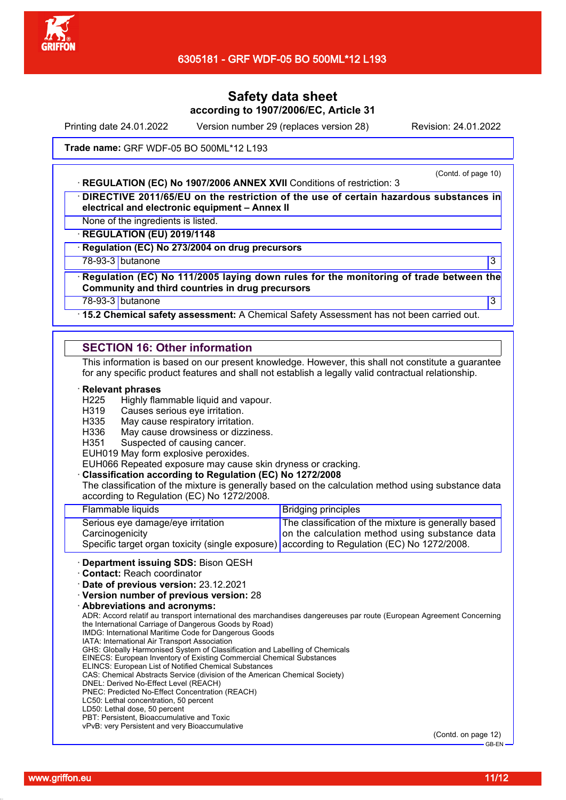

Printing date 24.01.2022 Version number 29 (replaces version 28) Revision: 24.01.2022

Trade name: GRF WDF-05 BO 500ML\*12 L193

### · **REGULATION (EC) No 1907/2006 ANNEX XVII** Conditions of restriction: 3

(Contd. of page 10)

· **DIRECTIVE 2011/65/EU on the restriction of the use of certain hazardous substances in electrical and electronic equipment – Annex II**

None of the ingredients is listed.

· **REGULATION (EU) 2019/1148**

· **Regulation (EC) No 273/2004 on drug precursors**

78-93-3 butanone 3

· **Regulation (EC) No 111/2005 laying down rules for the monitoring of trade between the Community and third countries in drug precursors**

78-93-3 butanone 3

· **15.2 Chemical safety assessment:** A Chemical Safety Assessment has not been carried out.

## **SECTION 16: Other information**

This information is based on our present knowledge. However, this shall not constitute a guarantee for any specific product features and shall not establish a legally valid contractual relationship.

#### · **Relevant phrases**

- H225 Highly flammable liquid and vapour.
- H319 Causes serious eye irritation.
- H335 May cause respiratory irritation.
- H336 May cause drowsiness or dizziness.
- H351 Suspected of causing cancer.

EUH019 May form explosive peroxides.

EUH066 Repeated exposure may cause skin dryness or cracking.

#### · **Classification according to Regulation (EC) No 1272/2008**

The classification of the mixture is generally based on the calculation method using substance data according to Regulation (EC) No 1272/2008.

| Specific target organ toxicity (single exposure) according to Regulation (EC) No 1272/2008. |                                                      |
|---------------------------------------------------------------------------------------------|------------------------------------------------------|
| Carcinogenicity                                                                             | on the calculation method using substance data       |
| Serious eye damage/eye irritation                                                           | The classification of the mixture is generally based |
| Flammable liquids                                                                           | <b>Bridging principles</b>                           |
|                                                                                             |                                                      |

#### · **Department issuing SDS:** Bison QESH

· **Contact:** Reach coordinator

· **Date of previous version:** 23.12.2021

· **Version number of previous version:** 28

· **Abbreviations and acronyms:**

ADR: Accord relatif au transport international des marchandises dangereuses par route (European Agreement Concerning the International Carriage of Dangerous Goods by Road)

IMDG: International Maritime Code for Dangerous Goods

IATA: International Air Transport Association

GHS: Globally Harmonised System of Classification and Labelling of Chemicals EINECS: European Inventory of Existing Commercial Chemical Substances

ELINCS: European List of Notified Chemical Substances

CAS: Chemical Abstracts Service (division of the American Chemical Society)

- DNEL: Derived No-Effect Level (REACH)
- PNEC: Predicted No-Effect Concentration (REACH)
- LC50: Lethal concentration, 50 percent
- LD50: Lethal dose, 50 percent
- PBT: Persistent, Bioaccumulative and Toxic

vPvB: very Persistent and very Bioaccumulative

(Contd. on page 12)